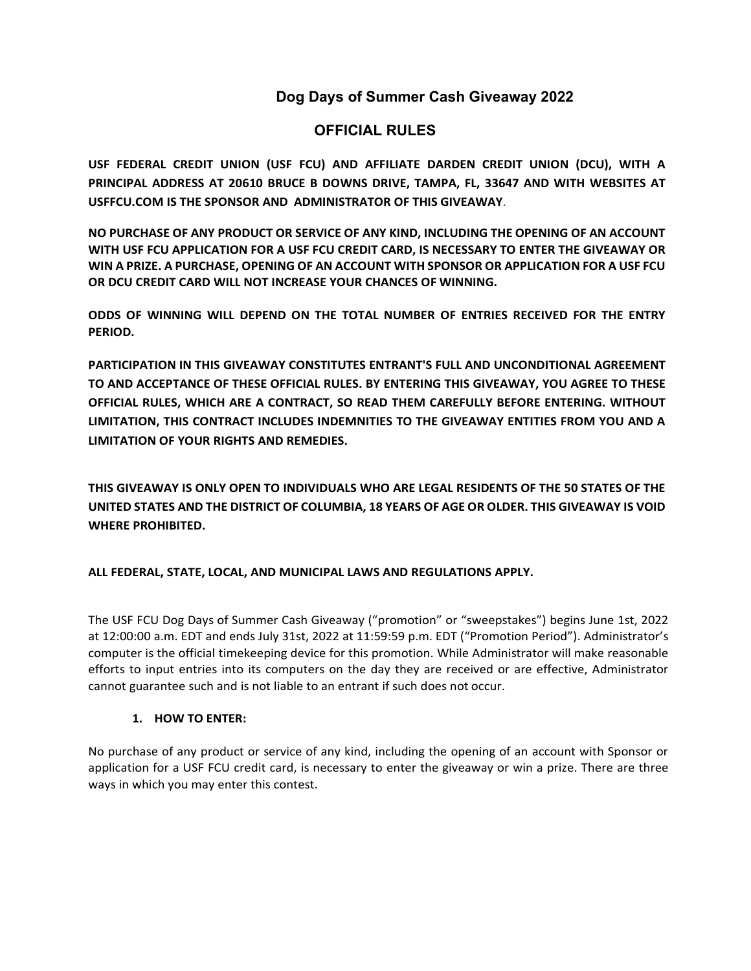# **Dog Days of Summer Cash Giveaway 2022**

# **OFFICIAL RULES**

**USF FEDERAL CREDIT UNION (USF FCU) AND AFFILIATE DARDEN CREDIT UNION (DCU), WITH A PRINCIPAL ADDRESS AT 20610 BRUCE B DOWNS DRIVE, TAMPA, FL, 33647 AND WITH WEBSITES AT USFFCU.COM IS THE SPONSOR AND ADMINISTRATOR OF THIS GIVEAWAY**.

**NO PURCHASE OF ANY PRODUCT OR SERVICE OF ANY KIND, INCLUDING THE OPENING OF AN ACCOUNT WITH USF FCU APPLICATION FOR A USF FCU CREDIT CARD, IS NECESSARY TO ENTER THE GIVEAWAY OR WIN A PRIZE. A PURCHASE, OPENING OF AN ACCOUNT WITH SPONSOR OR APPLICATION FOR A USF FCU OR DCU CREDIT CARD WILL NOT INCREASE YOUR CHANCES OF WINNING.** 

**ODDS OF WINNING WILL DEPEND ON THE TOTAL NUMBER OF ENTRIES RECEIVED FOR THE ENTRY PERIOD.** 

**PARTICIPATION IN THIS GIVEAWAY CONSTITUTES ENTRANT'S FULL AND UNCONDITIONAL AGREEMENT TO AND ACCEPTANCE OF THESE OFFICIAL RULES. BY ENTERING THIS GIVEAWAY, YOU AGREE TO THESE OFFICIAL RULES, WHICH ARE A CONTRACT, SO READ THEM CAREFULLY BEFORE ENTERING. WITHOUT LIMITATION, THIS CONTRACT INCLUDES INDEMNITIES TO THE GIVEAWAY ENTITIES FROM YOU AND A LIMITATION OF YOUR RIGHTS AND REMEDIES.** 

**THIS GIVEAWAY IS ONLY OPEN TO INDIVIDUALS WHO ARE LEGAL RESIDENTS OF THE 50 STATES OF THE UNITED STATES AND THE DISTRICT OF COLUMBIA, 18 YEARS OF AGE OR OLDER. THIS GIVEAWAY IS VOID WHERE PROHIBITED.** 

#### **ALL FEDERAL, STATE, LOCAL, AND MUNICIPAL LAWS AND REGULATIONS APPLY.**

The USF FCU Dog Days of Summer Cash Giveaway ("promotion" or "sweepstakes") begins June 1st, 2022 at 12:00:00 a.m. EDT and ends July 31st, 2022 at 11:59:59 p.m. EDT ("Promotion Period"). Administrator's computer is the official timekeeping device for this promotion. While Administrator will make reasonable efforts to input entries into its computers on the day they are received or are effective, Administrator cannot guarantee such and is not liable to an entrant if such does not occur.

#### **1. HOW TO ENTER:**

No purchase of any product or service of any kind, including the opening of an account with Sponsor or application for a USF FCU credit card, is necessary to enter the giveaway or win a prize. There are three ways in which you may enter this contest.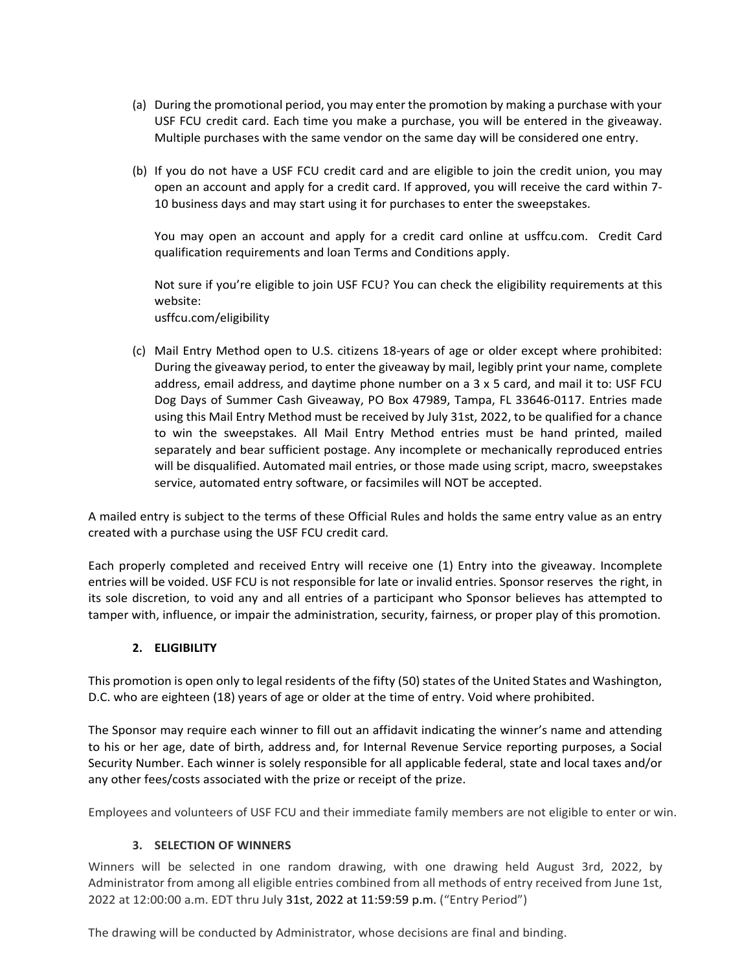- (a) During the promotional period, you may enter the promotion by making a purchase with your USF FCU credit card. Each time you make a purchase, you will be entered in the giveaway. Multiple purchases with the same vendor on the same day will be considered one entry.
- (b) If you do not have a USF FCU credit card and are eligible to join the credit union, you may open an account and apply for a credit card. If approved, you will receive the card within 7- 10 business days and may start using it for purchases to enter the sweepstakes.

You may open an account and apply for a credit card online at usffcu.com. Credit Card qualification requirements and loan Terms and Conditions apply.

Not sure if you're eligible to join USF FCU? You can check the eligibility requirements at this website: usffcu.com/eligibility

(c) Mail Entry Method open to U.S. citizens 18-years of age or older except where prohibited: During the giveaway period, to enter the giveaway by mail, legibly print your name, complete address, email address, and daytime phone number on a 3 x 5 card, and mail it to: USF FCU Dog Days of Summer Cash Giveaway, PO Box 47989, Tampa, FL 33646-0117. Entries made using this Mail Entry Method must be received by July 31st, 2022, to be qualified for a chance to win the sweepstakes. All Mail Entry Method entries must be hand printed, mailed separately and bear sufficient postage. Any incomplete or mechanically reproduced entries will be disqualified. Automated mail entries, or those made using script, macro, sweepstakes service, automated entry software, or facsimiles will NOT be accepted.

A mailed entry is subject to the terms of these Official Rules and holds the same entry value as an entry created with a purchase using the USF FCU credit card.

Each properly completed and received Entry will receive one (1) Entry into the giveaway. Incomplete entries will be voided. USF FCU is not responsible for late or invalid entries. Sponsor reserves the right, in its sole discretion, to void any and all entries of a participant who Sponsor believes has attempted to tamper with, influence, or impair the administration, security, fairness, or proper play of this promotion.

## **2. ELIGIBILITY**

This promotion is open only to legal residents of the fifty (50) states of the United States and Washington, D.C. who are eighteen (18) years of age or older at the time of entry. Void where prohibited.

The Sponsor may require each winner to fill out an affidavit indicating the winner's name and attending to his or her age, date of birth, address and, for Internal Revenue Service reporting purposes, a Social Security Number. Each winner is solely responsible for all applicable federal, state and local taxes and/or any other fees/costs associated with the prize or receipt of the prize.

Employees and volunteers of USF FCU and their immediate family members are not eligible to enter or win.

#### **3. SELECTION OF WINNERS**

Winners will be selected in one random drawing, with one drawing held August 3rd, 2022, by Administrator from among all eligible entries combined from all methods of entry received from June 1st, 2022 at 12:00:00 a.m. EDT thru July 31st, 2022 at 11:59:59 p.m. ("Entry Period")

The drawing will be conducted by Administrator, whose decisions are final and binding.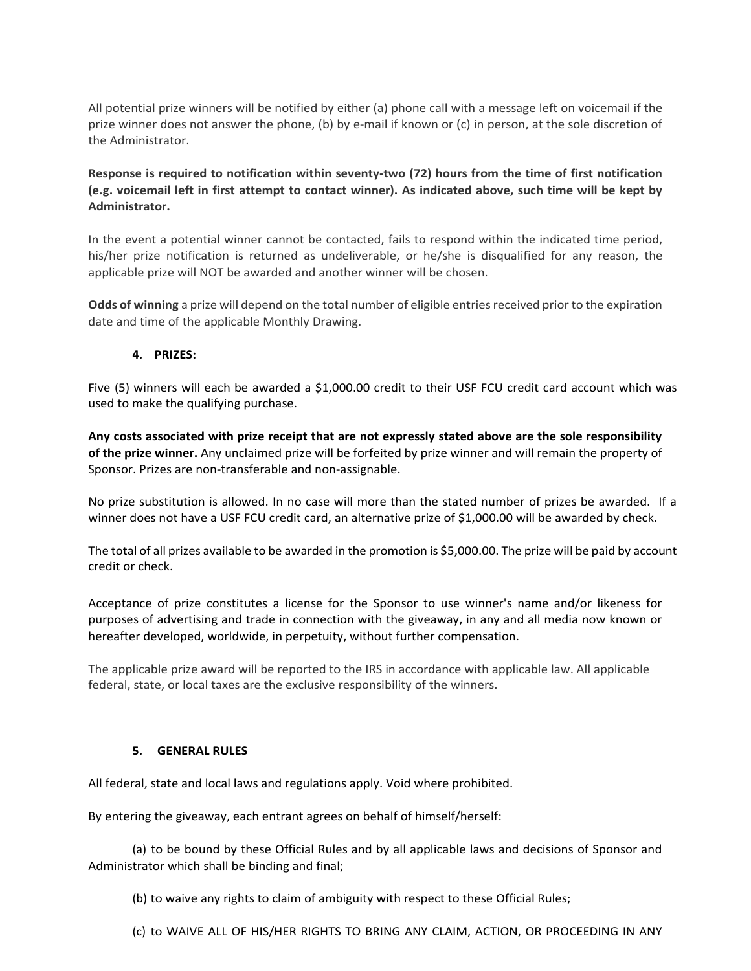All potential prize winners will be notified by either (a) phone call with a message left on voicemail if the prize winner does not answer the phone, (b) by e-mail if known or (c) in person, at the sole discretion of the Administrator.

**Response is required to notification within seventy-two (72) hours from the time of first notification (e.g. voicemail left in first attempt to contact winner). As indicated above, such time will be kept by Administrator.**

In the event a potential winner cannot be contacted, fails to respond within the indicated time period, his/her prize notification is returned as undeliverable, or he/she is disqualified for any reason, the applicable prize will NOT be awarded and another winner will be chosen.

**Odds of winning** a prize will depend on the total number of eligible entries received prior to the expiration date and time of the applicable Monthly Drawing.

#### **4. PRIZES:**

Five (5) winners will each be awarded a \$1,000.00 credit to their USF FCU credit card account which was used to make the qualifying purchase.

**Any costs associated with prize receipt that are not expressly stated above are the sole responsibility of the prize winner.** Any unclaimed prize will be forfeited by prize winner and will remain the property of Sponsor. Prizes are non-transferable and non-assignable.

No prize substitution is allowed. In no case will more than the stated number of prizes be awarded. If a winner does not have a USF FCU credit card, an alternative prize of \$1,000.00 will be awarded by check.

The total of all prizes available to be awarded in the promotion is \$5,000.00. The prize will be paid by account credit or check.

Acceptance of prize constitutes a license for the Sponsor to use winner's name and/or likeness for purposes of advertising and trade in connection with the giveaway, in any and all media now known or hereafter developed, worldwide, in perpetuity, without further compensation.

The applicable prize award will be reported to the IRS in accordance with applicable law. All applicable federal, state, or local taxes are the exclusive responsibility of the winners.

#### **5. GENERAL RULES**

All federal, state and local laws and regulations apply. Void where prohibited.

By entering the giveaway, each entrant agrees on behalf of himself/herself:

(a) to be bound by these Official Rules and by all applicable laws and decisions of Sponsor and Administrator which shall be binding and final;

(b) to waive any rights to claim of ambiguity with respect to these Official Rules;

(c) to WAIVE ALL OF HIS/HER RIGHTS TO BRING ANY CLAIM, ACTION, OR PROCEEDING IN ANY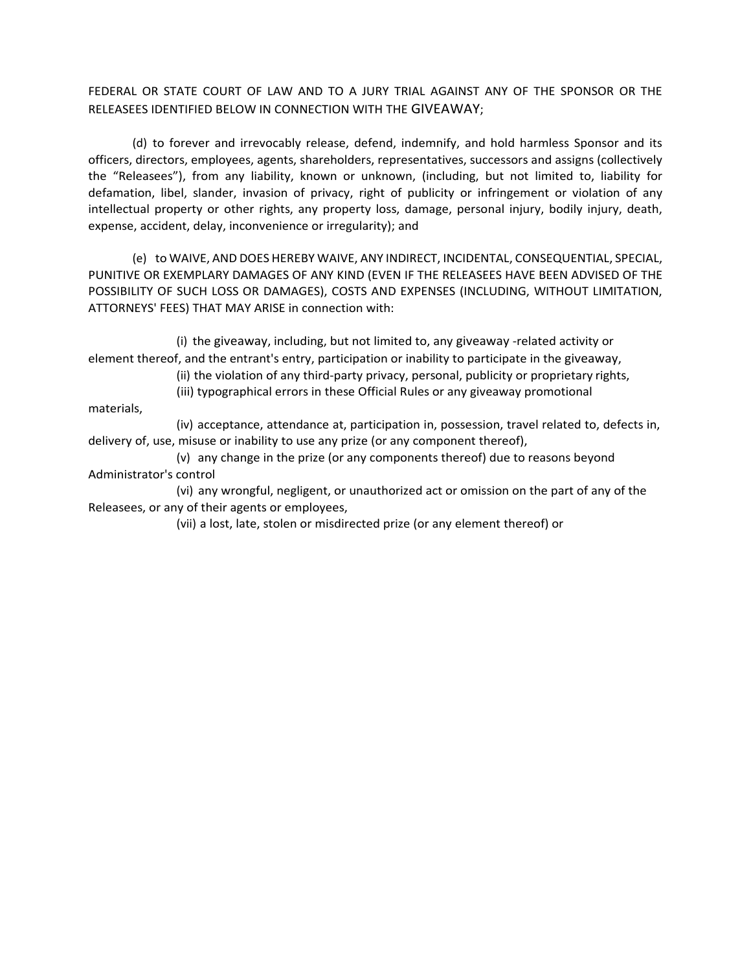## FEDERAL OR STATE COURT OF LAW AND TO A JURY TRIAL AGAINST ANY OF THE SPONSOR OR THE RELEASEES IDENTIFIED BELOW IN CONNECTION WITH THE GIVEAWAY;

(d) to forever and irrevocably release, defend, indemnify, and hold harmless Sponsor and its officers, directors, employees, agents, shareholders, representatives, successors and assigns (collectively the "Releasees"), from any liability, known or unknown, (including, but not limited to, liability for defamation, libel, slander, invasion of privacy, right of publicity or infringement or violation of any intellectual property or other rights, any property loss, damage, personal injury, bodily injury, death, expense, accident, delay, inconvenience or irregularity); and

(e) to WAIVE, AND DOES HEREBY WAIVE, ANY INDIRECT, INCIDENTAL, CONSEQUENTIAL, SPECIAL, PUNITIVE OR EXEMPLARY DAMAGES OF ANY KIND (EVEN IF THE RELEASEES HAVE BEEN ADVISED OF THE POSSIBILITY OF SUCH LOSS OR DAMAGES), COSTS AND EXPENSES (INCLUDING, WITHOUT LIMITATION, ATTORNEYS' FEES) THAT MAY ARISE in connection with:

(i) the giveaway, including, but not limited to, any giveaway -related activity or element thereof, and the entrant's entry, participation or inability to participate in the giveaway,

(ii) the violation of any third-party privacy, personal, publicity or proprietary rights,

(iii) typographical errors in these Official Rules or any giveaway promotional

materials,

(iv) acceptance, attendance at, participation in, possession, travel related to, defects in, delivery of, use, misuse or inability to use any prize (or any component thereof),

(v) any change in the prize (or any components thereof) due to reasons beyond Administrator's control

(vi) any wrongful, negligent, or unauthorized act or omission on the part of any of the Releasees, or any of their agents or employees,

(vii) a lost, late, stolen or misdirected prize (or any element thereof) or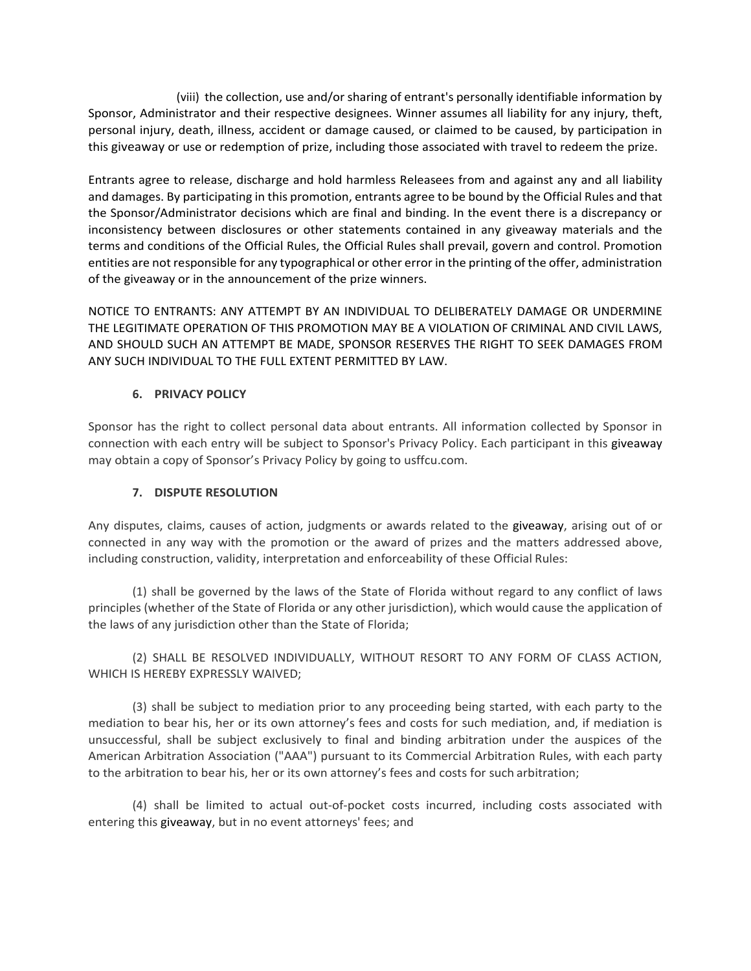(viii) the collection, use and/or sharing of entrant's personally identifiable information by Sponsor, Administrator and their respective designees. Winner assumes all liability for any injury, theft, personal injury, death, illness, accident or damage caused, or claimed to be caused, by participation in this giveaway or use or redemption of prize, including those associated with travel to redeem the prize.

Entrants agree to release, discharge and hold harmless Releasees from and against any and all liability and damages. By participating in this promotion, entrants agree to be bound by the Official Rules and that the Sponsor/Administrator decisions which are final and binding. In the event there is a discrepancy or inconsistency between disclosures or other statements contained in any giveaway materials and the terms and conditions of the Official Rules, the Official Rules shall prevail, govern and control. Promotion entities are not responsible for any typographical or other error in the printing of the offer, administration of the giveaway or in the announcement of the prize winners.

NOTICE TO ENTRANTS: ANY ATTEMPT BY AN INDIVIDUAL TO DELIBERATELY DAMAGE OR UNDERMINE THE LEGITIMATE OPERATION OF THIS PROMOTION MAY BE A VIOLATION OF CRIMINAL AND CIVIL LAWS, AND SHOULD SUCH AN ATTEMPT BE MADE, SPONSOR RESERVES THE RIGHT TO SEEK DAMAGES FROM ANY SUCH INDIVIDUAL TO THE FULL EXTENT PERMITTED BY LAW.

### **6. PRIVACY POLICY**

Sponsor has the right to collect personal data about entrants. All information collected by Sponsor in connection with each entry will be subject to Sponsor's Privacy Policy. Each participant in this giveaway may obtain a copy of Sponsor's Privacy Policy by going to usffcu.com.

## **7. DISPUTE RESOLUTION**

Any disputes, claims, causes of action, judgments or awards related to the giveaway, arising out of or connected in any way with the promotion or the award of prizes and the matters addressed above, including construction, validity, interpretation and enforceability of these Official Rules:

(1) shall be governed by the laws of the State of Florida without regard to any conflict of laws principles (whether of the State of Florida or any other jurisdiction), which would cause the application of the laws of any jurisdiction other than the State of Florida;

(2) SHALL BE RESOLVED INDIVIDUALLY, WITHOUT RESORT TO ANY FORM OF CLASS ACTION, WHICH IS HEREBY EXPRESSLY WAIVED;

(3) shall be subject to mediation prior to any proceeding being started, with each party to the mediation to bear his, her or its own attorney's fees and costs for such mediation, and, if mediation is unsuccessful, shall be subject exclusively to final and binding arbitration under the auspices of the American Arbitration Association ("AAA") pursuant to its Commercial Arbitration Rules, with each party to the arbitration to bear his, her or its own attorney's fees and costs for such arbitration;

(4) shall be limited to actual out-of-pocket costs incurred, including costs associated with entering this giveaway, but in no event attorneys' fees; and